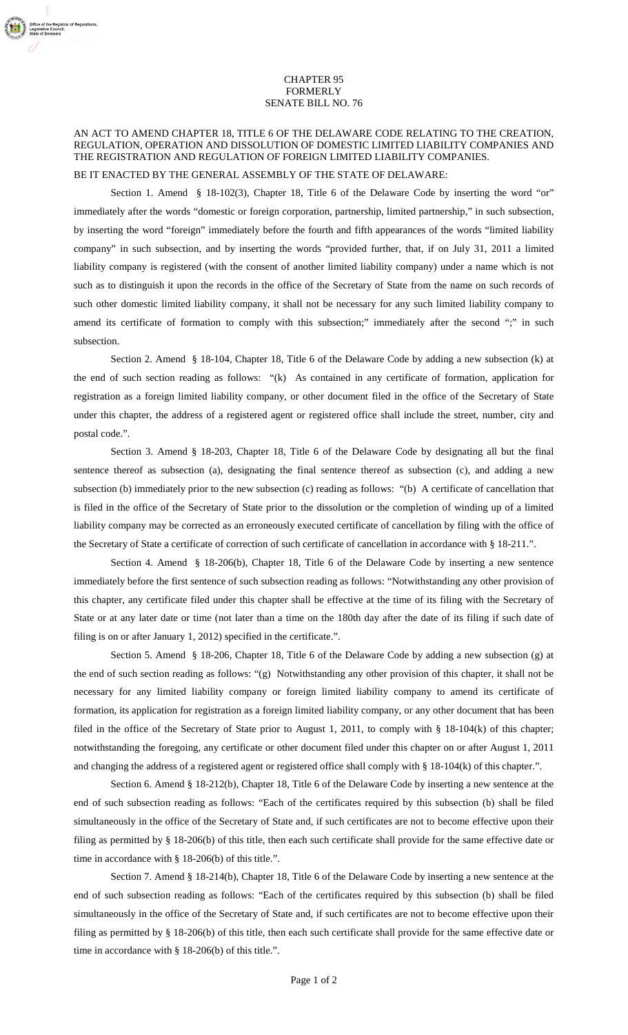## CHAPTER 95 FORMERLY SENATE BILL NO. 76

## AN ACT TO AMEND CHAPTER 18, TITLE 6 OF THE DELAWARE CODE RELATING TO THE CREATION, REGULATION, OPERATION AND DISSOLUTION OF DOMESTIC LIMITED LIABILITY COMPANIES AND THE REGISTRATION AND REGULATION OF FOREIGN LIMITED LIABILITY COMPANIES.

## BE IT ENACTED BY THE GENERAL ASSEMBLY OF THE STATE OF DELAWARE:

Section 1. Amend § 18-102(3), Chapter 18, Title 6 of the Delaware Code by inserting the word "or" immediately after the words "domestic or foreign corporation, partnership, limited partnership," in such subsection, by inserting the word "foreign" immediately before the fourth and fifth appearances of the words "limited liability company" in such subsection, and by inserting the words "provided further, that, if on July 31, 2011 a limited liability company is registered (with the consent of another limited liability company) under a name which is not such as to distinguish it upon the records in the office of the Secretary of State from the name on such records of such other domestic limited liability company, it shall not be necessary for any such limited liability company to amend its certificate of formation to comply with this subsection;" immediately after the second ";" in such subsection.

Section 2. Amend § 18-104, Chapter 18, Title 6 of the Delaware Code by adding a new subsection (k) at the end of such section reading as follows: "(k) As contained in any certificate of formation, application for registration as a foreign limited liability company, or other document filed in the office of the Secretary of State under this chapter, the address of a registered agent or registered office shall include the street, number, city and postal code.".

Section 3. Amend § 18-203, Chapter 18, Title 6 of the Delaware Code by designating all but the final sentence thereof as subsection (a), designating the final sentence thereof as subsection (c), and adding a new subsection (b) immediately prior to the new subsection (c) reading as follows: "(b) A certificate of cancellation that is filed in the office of the Secretary of State prior to the dissolution or the completion of winding up of a limited liability company may be corrected as an erroneously executed certificate of cancellation by filing with the office of the Secretary of State a certificate of correction of such certificate of cancellation in accordance with § 18-211.".

Section 4. Amend § 18-206(b), Chapter 18, Title 6 of the Delaware Code by inserting a new sentence immediately before the first sentence of such subsection reading as follows: "Notwithstanding any other provision of this chapter, any certificate filed under this chapter shall be effective at the time of its filing with the Secretary of State or at any later date or time (not later than a time on the 180th day after the date of its filing if such date of filing is on or after January 1, 2012) specified in the certificate.".

Section 5. Amend § 18-206, Chapter 18, Title 6 of the Delaware Code by adding a new subsection (g) at the end of such section reading as follows: "(g) Notwithstanding any other provision of this chapter, it shall not be necessary for any limited liability company or foreign limited liability company to amend its certificate of formation, its application for registration as a foreign limited liability company, or any other document that has been filed in the office of the Secretary of State prior to August 1, 2011, to comply with § 18-104(k) of this chapter; notwithstanding the foregoing, any certificate or other document filed under this chapter on or after August 1, 2011 and changing the address of a registered agent or registered office shall comply with § 18-104(k) of this chapter.".

Section 6. Amend § 18-212(b), Chapter 18, Title 6 of the Delaware Code by inserting a new sentence at the end of such subsection reading as follows: "Each of the certificates required by this subsection (b) shall be filed simultaneously in the office of the Secretary of State and, if such certificates are not to become effective upon their filing as permitted by § 18-206(b) of this title, then each such certificate shall provide for the same effective date or time in accordance with § 18-206(b) of this title.".

Section 7. Amend § 18-214(b), Chapter 18, Title 6 of the Delaware Code by inserting a new sentence at the end of such subsection reading as follows: "Each of the certificates required by this subsection (b) shall be filed simultaneously in the office of the Secretary of State and, if such certificates are not to become effective upon their filing as permitted by § 18-206(b) of this title, then each such certificate shall provide for the same effective date or time in accordance with § 18-206(b) of this title.".